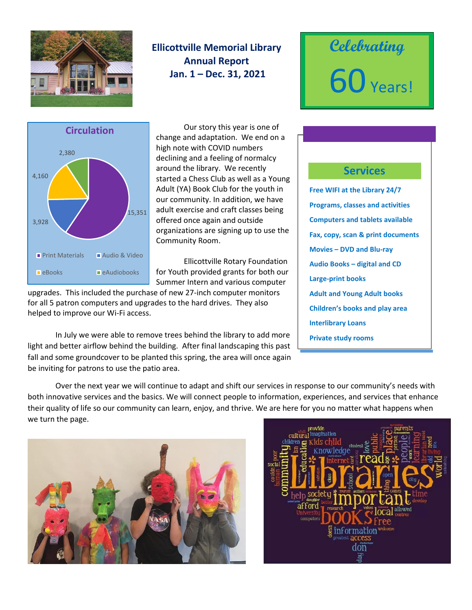

## **Ellicottville Memorial Library Annual Report Jan. 1 – Dec. 31, 2021**





Our story this year is one of change and adaptation. We end on a high note with COVID numbers declining and a feeling of normalcy around the library. We recently started a Chess Club as well as a Young Adult (YA) Book Club for the youth in our community. In addition, we have adult exercise and craft classes being offered once again and outside organizations are signing up to use the Community Room.

Ellicottville Rotary Foundation for Youth provided grants for both our Summer Intern and various computer

upgrades. This included the purchase of new 27-inch computer monitors for all 5 patron computers and upgrades to the hard drives. They also helped to improve our Wi-Fi access.

In July we were able to remove trees behind the library to add more light and better airflow behind the building. After final landscaping this past fall and some groundcover to be planted this spring, the area will once again be inviting for patrons to use the patio area.

## **Services**

**Free WIFI at the Library 24/7 Programs, classes and activities Computers and tablets available Fax, copy, scan & print documents Movies – DVD and Blu-ray Audio Books – digital and CD Large-print books Adult and Young Adult books Children's books and play area Interlibrary Loans Private study rooms**

Over the next year we will continue to adapt and shift our services in response to our community's needs with both innovative services and the basics. We will connect people to information, experiences, and services that enhance their quality of life so our community can learn, enjoy, and thrive. We are here for you no matter what happens when we turn the page.